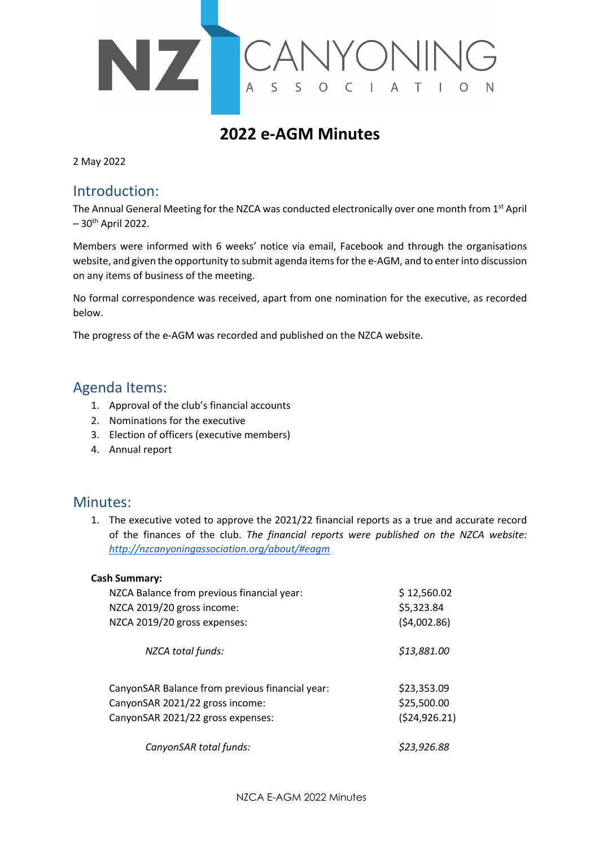

# **2022 e-AGM Minutes**

2 May 2022

## Introduction:

The Annual General Meeting for the NZCA was conducted electronically over one month from 1st April  $-30$ <sup>th</sup> April 2022.

Members were informed with 6 weeks' notice via email, Facebook and through the organisations website, and given the opportunity to submit agenda items for the e-AGM, and to enter into discussion on any items of business of the meeting.

No formal correspondence was received, apart from one nomination for the executive, as recorded below.

The progress of the e-AGM was recorded and published on the NZCA website.

# Agenda Items:

- 1. Approval of the club's financial accounts
- 2. Nominations for the executive
- 3. Election of officers (executive members)
- 4. Annual report

## Minutes:

1. The executive voted to approve the 2021/22 financial reports as a true and accurate record of the finances of the club. *The financial reports were published on the NZCA website: http://nzcanyoningassociation.org/about/#eagm*

#### **Cash Summary:**

| NZCA Balance from previous financial year:      | \$12,560.02   |
|-------------------------------------------------|---------------|
| NZCA 2019/20 gross income:                      | \$5,323.84    |
| NZCA 2019/20 gross expenses:                    | (54,002.86)   |
| NZCA total funds:                               | \$13,881.00   |
| CanyonSAR Balance from previous financial year: | \$23,353.09   |
| CanyonSAR 2021/22 gross income:                 | \$25,500.00   |
| CanyonSAR 2021/22 gross expenses:               | (524, 926.21) |
| CanyonSAR total funds:                          | \$23,926.88   |